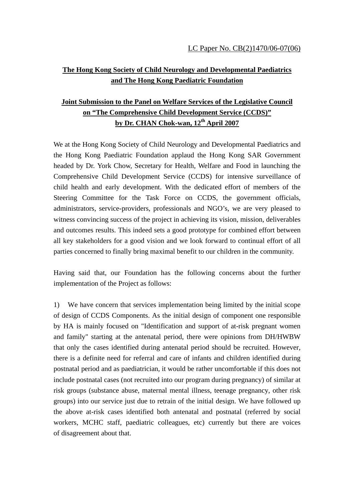## **The Hong Kong Society of Child Neurology and Developmental Paediatrics and The Hong Kong Paediatric Foundation**

## **Joint Submission to the Panel on Welfare Services of the Legislative Council on "The Comprehensive Child Development Service (CCDS)" by Dr. CHAN Chok-wan, 12th April 2007**

We at the Hong Kong Society of Child Neurology and Developmental Paediatrics and the Hong Kong Paediatric Foundation applaud the Hong Kong SAR Government headed by Dr. York Chow, Secretary for Health, Welfare and Food in launching the Comprehensive Child Development Service (CCDS) for intensive surveillance of child health and early development. With the dedicated effort of members of the Steering Committee for the Task Force on CCDS, the government officials, administrators, service-providers, professionals and NGO's, we are very pleased to witness convincing success of the project in achieving its vision, mission, deliverables and outcomes results. This indeed sets a good prototype for combined effort between all key stakeholders for a good vision and we look forward to continual effort of all parties concerned to finally bring maximal benefit to our children in the community.

Having said that, our Foundation has the following concerns about the further implementation of the Project as follows:

1) We have concern that services implementation being limited by the initial scope of design of CCDS Components. As the initial design of component one responsible by HA is mainly focused on "Identification and support of at-risk pregnant women and family" starting at the antenatal period, there were opinions from DH/HWBW that only the cases identified during antenatal period should be recruited. However, there is a definite need for referral and care of infants and children identified during postnatal period and as paediatrician, it would be rather uncomfortable if this does not include postnatal cases (not recruited into our program during pregnancy) of similar at risk groups (substance abuse, maternal mental illness, teenage pregnancy, other risk groups) into our service just due to retrain of the initial design. We have followed up the above at-risk cases identified both antenatal and postnatal (referred by social workers, MCHC staff, paediatric colleagues, etc) currently but there are voices of disagreement about that.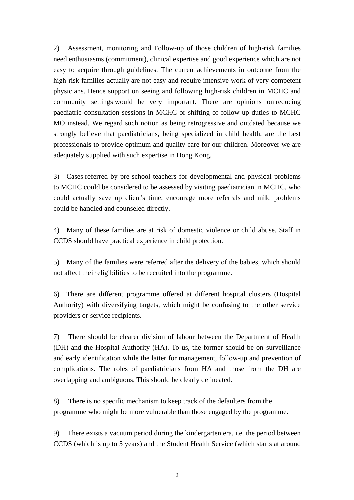2) Assessment, monitoring and Follow-up of those children of high-risk families need enthusiasms (commitment), clinical expertise and good experience which are not easy to acquire through guidelines. The current achievements in outcome from the high-risk families actually are not easy and require intensive work of very competent physicians. Hence support on seeing and following high-risk children in MCHC and community settings would be very important. There are opinions on reducing paediatric consultation sessions in MCHC or shifting of follow-up duties to MCHC MO instead. We regard such notion as being retrogressive and outdated because we strongly believe that paediatricians, being specialized in child health, are the best professionals to provide optimum and quality care for our children. Moreover we are adequately supplied with such expertise in Hong Kong.

3) Cases referred by pre-school teachers for developmental and physical problems to MCHC could be considered to be assessed by visiting paediatrician in MCHC, who could actually save up client's time, encourage more referrals and mild problems could be handled and counseled directly.

4) Many of these families are at risk of domestic violence or child abuse. Staff in CCDS should have practical experience in child protection.

5) Many of the families were referred after the delivery of the babies, which should not affect their eligibilities to be recruited into the programme.

6) There are different programme offered at different hospital clusters (Hospital Authority) with diversifying targets, which might be confusing to the other service providers or service recipients.

7) There should be clearer division of labour between the Department of Health (DH) and the Hospital Authority (HA). To us, the former should be on surveillance and early identification while the latter for management, follow-up and prevention of complications. The roles of paediatricians from HA and those from the DH are overlapping and ambiguous. This should be clearly delineated.

8) There is no specific mechanism to keep track of the defaulters from the programme who might be more vulnerable than those engaged by the programme.

9) There exists a vacuum period during the kindergarten era, i.e. the period between CCDS (which is up to 5 years) and the Student Health Service (which starts at around